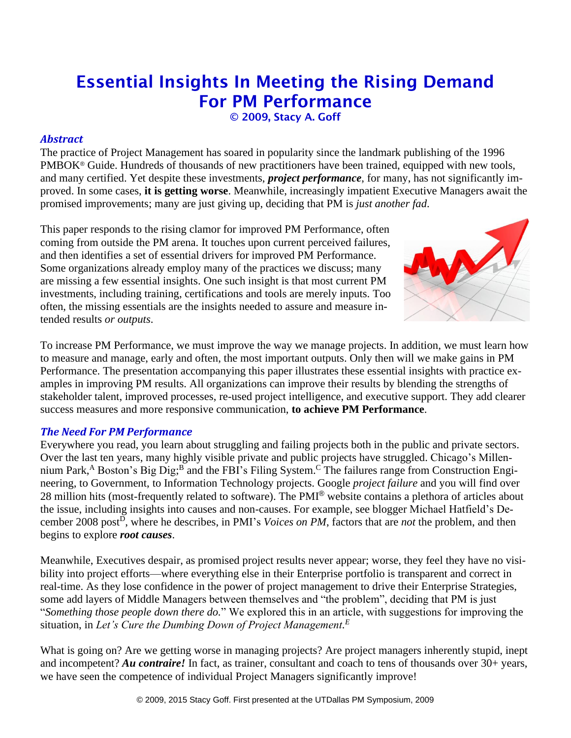# Essential Insights In Meeting the Rising Demand For PM Performance

© 2009, Stacy A. Goff

# *Abstract*

The practice of Project Management has soared in popularity since the landmark publishing of the 1996 PMBOK® Guide. Hundreds of thousands of new practitioners have been trained, equipped with new tools, and many certified. Yet despite these investments, *project performance*, for many, has not significantly improved. In some cases, **it is getting worse**. Meanwhile, increasingly impatient Executive Managers await the promised improvements; many are just giving up, deciding that PM is *just another fad*.

This paper responds to the rising clamor for improved PM Performance, often coming from outside the PM arena. It touches upon current perceived failures, and then identifies a set of essential drivers for improved PM Performance. Some organizations already employ many of the practices we discuss; many are missing a few essential insights. One such insight is that most current PM investments, including training, certifications and tools are merely inputs. Too often, the missing essentials are the insights needed to assure and measure intended results *or outputs*.



To increase PM Performance, we must improve the way we manage projects. In addition, we must learn how to measure and manage, early and often, the most important outputs. Only then will we make gains in PM Performance. The presentation accompanying this paper illustrates these essential insights with practice examples in improving PM results. All organizations can improve their results by blending the strengths of stakeholder talent, improved processes, re-used project intelligence, and executive support. They add clearer success measures and more responsive communication, **to achieve PM Performance**.

# *The Need For PM Performance*

Everywhere you read, you learn about struggling and failing projects both in the public and private sectors. Over the last ten years, many highly visible private and public projects have struggled. Chicago's Millennium Park,<sup>A</sup> Boston's Big Dig;<sup>B</sup> and the FBI's Filing System.<sup>C</sup> The failures range from Construction Engineering, to Government, to Information Technology projects. Google *project failure* and you will find over 28 million hits (most-frequently related to software). The PMI® website contains a plethora of articles about the issue, including insights into causes and non-causes. For example, see blogger Michael Hatfield's December 2008 post<sup>D</sup>, where he describes, in PMI's *Voices on PM*, factors that are *not* the problem, and then begins to explore *root causes*.

Meanwhile, Executives despair, as promised project results never appear; worse, they feel they have no visibility into project efforts—where everything else in their Enterprise portfolio is transparent and correct in real-time. As they lose confidence in the power of project management to drive their Enterprise Strategies, some add layers of Middle Managers between themselves and "the problem", deciding that PM is just "*Something those people down there do.*" We explored this in an article, with suggestions for improving the situation, in *Let's Cure the Dumbing Down of Project Management. E*

What is going on? Are we getting worse in managing projects? Are project managers inherently stupid, inept and incompetent? *Au contraire!* In fact, as trainer, consultant and coach to tens of thousands over 30+ years, we have seen the competence of individual Project Managers significantly improve!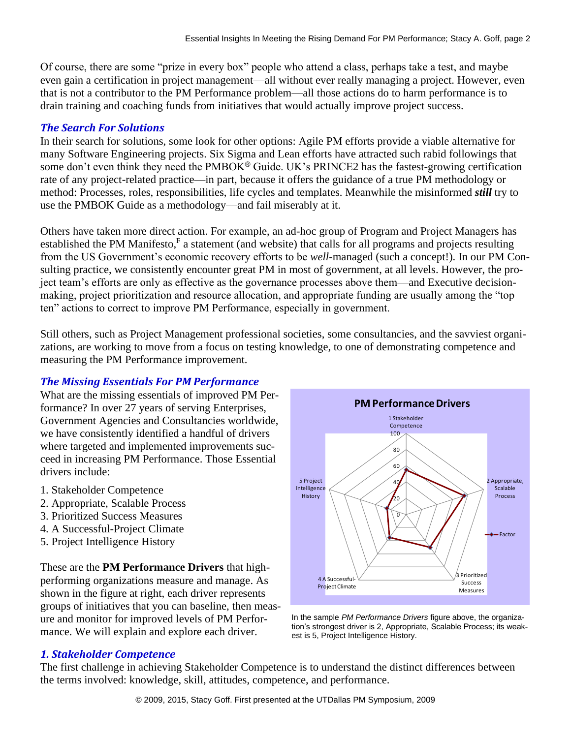Of course, there are some "prize in every box" people who attend a class, perhaps take a test, and maybe even gain a certification in project management—all without ever really managing a project. However, even that is not a contributor to the PM Performance problem—all those actions do to harm performance is to drain training and coaching funds from initiatives that would actually improve project success.

# *The Search For Solutions*

In their search for solutions, some look for other options: Agile PM efforts provide a viable alternative for many Software Engineering projects. Six Sigma and Lean efforts have attracted such rabid followings that some don't even think they need the PMBOK<sup>®</sup> Guide. UK's PRINCE2 has the fastest-growing certification rate of any project-related practice—in part, because it offers the guidance of a true PM methodology or method: Processes, roles, responsibilities, life cycles and templates. Meanwhile the misinformed *still* try to use the PMBOK Guide as a methodology—and fail miserably at it.

Others have taken more direct action. For example, an ad-hoc group of Program and Project Managers has established the PM Manifesto, $F$  a statement (and website) that calls for all programs and projects resulting from the US Government's economic recovery efforts to be *well*-managed (such a concept!). In our PM Consulting practice, we consistently encounter great PM in most of government, at all levels. However, the project team's efforts are only as effective as the governance processes above them—and Executive decisionmaking, project prioritization and resource allocation, and appropriate funding are usually among the "top ten" actions to correct to improve PM Performance, especially in government.

Still others, such as Project Management professional societies, some consultancies, and the savviest organizations, are working to move from a focus on testing knowledge, to one of demonstrating competence and measuring the PM Performance improvement.

# *The Missing Essentials For PM Performance*

What are the missing essentials of improved PM Performance? In over 27 years of serving Enterprises, Government Agencies and Consultancies worldwide, we have consistently identified a handful of drivers where targeted and implemented improvements succeed in increasing PM Performance. Those Essential drivers include:

- 1. Stakeholder Competence
- 2. Appropriate, Scalable Process
- 3. Prioritized Success Measures
- 4. A Successful-Project Climate
- 5. Project Intelligence History

These are the **PM Performance Drivers** that highperforming organizations measure and manage. As shown in the figure at right, each driver represents groups of initiatives that you can baseline, then measure and monitor for improved levels of PM Performance. We will explain and explore each driver.





# *1. Stakeholder Competence*

The first challenge in achieving Stakeholder Competence is to understand the distinct differences between the terms involved: knowledge, skill, attitudes, competence, and performance.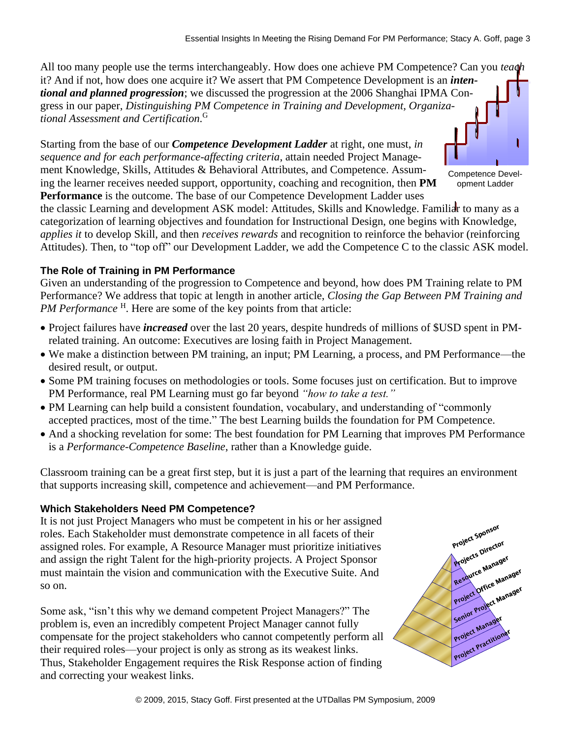All too many people use the terms interchangeably. How does one achieve PM Competence? Can you *teach* it? And if not, how does one acquire it? We assert that PM Competence Development is an *intentional and planned progression*; we discussed the progression at the 2006 Shanghai IPMA Congress in our paper, *Distinguishing PM Competence in Training and Development, Organizational Assessment and Certification.* G

Starting from the base of our *Competence Development Ladder* at right, one must, *in sequence and for each performance-affecting criteria*, attain needed Project Management Knowledge, Skills, Attitudes & Behavioral Attributes, and Competence. Assuming the learner receives needed support, opportunity, coaching and recognition, then **PM Performance** is the outcome. The base of our Competence Development Ladder uses

Competence Development Ladder

the classic Learning and development ASK model: Attitudes, Skills and Knowledge. Familiar to many as a categorization of learning objectives and foundation for Instructional Design, one begins with Knowledge, *applies it* to develop Skill, and then *receives rewards* and recognition to reinforce the behavior (reinforcing Attitudes). Then, to "top off" our Development Ladder, we add the Competence C to the classic ASK model.

#### **The Role of Training in PM Performance**

Given an understanding of the progression to Competence and beyond, how does PM Training relate to PM Performance? We address that topic at length in another article, *Closing the Gap Between PM Training and*  PM Performance<sup>H</sup>. Here are some of the key points from that article:

- Project failures have *increased* over the last 20 years, despite hundreds of millions of \$USD spent in PMrelated training. An outcome: Executives are losing faith in Project Management.
- We make a distinction between PM training, an input; PM Learning, a process, and PM Performance—the desired result, or output.
- Some PM training focuses on methodologies or tools. Some focuses just on certification. But to improve PM Performance, real PM Learning must go far beyond *"how to take a test."*
- PM Learning can help build a consistent foundation, vocabulary, and understanding of "commonly accepted practices, most of the time." The best Learning builds the foundation for PM Competence.
- And a shocking revelation for some: The best foundation for PM Learning that improves PM Performance is a *Performance-Competence Baseline*, rather than a Knowledge guide.

Classroom training can be a great first step, but it is just a part of the learning that requires an environment that supports increasing skill, competence and achievement—and PM Performance.

#### **Which Stakeholders Need PM Competence?**

It is not just Project Managers who must be competent in his or her assigned roles. Each Stakeholder must demonstrate competence in all facets of their assigned roles. For example, A Resource Manager must prioritize initiatives and assign the right Talent for the high-priority projects. A Project Sponsor must maintain the vision and communication with the Executive Suite. And so on.

Some ask, "isn't this why we demand competent Project Managers?" The problem is, even an incredibly competent Project Manager cannot fully compensate for the project stakeholders who cannot competently perform all their required roles—your project is only as strong as its weakest links. Thus, Stakeholder Engagement requires the Risk Response action of finding From correcting your weakest links.<br>
and correcting your weakest links.<br>
and assign the right Talent for the high-priority projects. A Project Sponsor<br>
must maintain the vision and communication with the Executive Suite. A

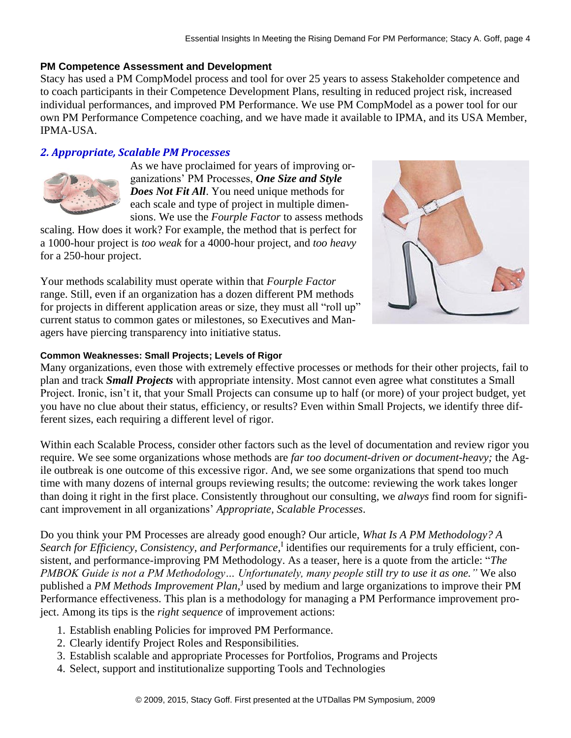#### **PM Competence Assessment and Development**

Stacy has used a PM CompModel process and tool for over 25 years to assess Stakeholder competence and to coach participants in their Competence Development Plans, resulting in reduced project risk, increased individual performances, and improved PM Performance. We use PM CompModel as a power tool for our own PM Performance Competence coaching, and we have made it available to IPMA, and its USA Member, IPMA-USA.

### *2. Appropriate, Scalable PM Processes*



As we have proclaimed for years of improving organizations' PM Processes, *One Size and Style Does Not Fit All*. You need unique methods for each scale and type of project in multiple dimensions. We use the *Fourple Factor* to assess methods

scaling. How does it work? For example, the method that is perfect for a 1000-hour project is *too weak* for a 4000-hour project, and *too heavy* for a 250-hour project.

Your methods scalability must operate within that *Fourple Factor* range. Still, even if an organization has a dozen different PM methods for projects in different application areas or size, they must all "roll up" current status to common gates or milestones, so Executives and Managers have piercing transparency into initiative status.



Many organizations, even those with extremely effective processes or methods for their other projects, fail to plan and track *Small Projects* with appropriate intensity. Most cannot even agree what constitutes a Small Project. Ironic, isn't it, that your Small Projects can consume up to half (or more) of your project budget, yet you have no clue about their status, efficiency, or results? Even within Small Projects, we identify three different sizes, each requiring a different level of rigor.

Within each Scalable Process, consider other factors such as the level of documentation and review rigor you require. We see some organizations whose methods are *far too document-driven or document-heavy;* the Agile outbreak is one outcome of this excessive rigor. And, we see some organizations that spend too much time with many dozens of internal groups reviewing results; the outcome: reviewing the work takes longer than doing it right in the first place. Consistently throughout our consulting, we *always* find room for significant improvement in all organizations' *Appropriate, Scalable Processes*.

Do you think your PM Processes are already good enough? Our article, *What Is A PM Methodology? A*  Search for Efficiency, Consistency, and Performance,<sup>I</sup> identifies our requirements for a truly efficient, consistent, and performance-improving PM Methodology. As a teaser, here is a quote from the article: "*The PMBOK Guide is not a PM Methodology… Unfortunately, many people still try to use it as one."* We also published a *PM Methods Improvement Plan,* J used by medium and large organizations to improve their PM Performance effectiveness. This plan is a methodology for managing a PM Performance improvement project. Among its tips is the *right sequence* of improvement actions:

- 1. Establish enabling Policies for improved PM Performance.
- 2. Clearly identify Project Roles and Responsibilities.
- 3. Establish scalable and appropriate Processes for Portfolios, Programs and Projects
- 4. Select, support and institutionalize supporting Tools and Technologies

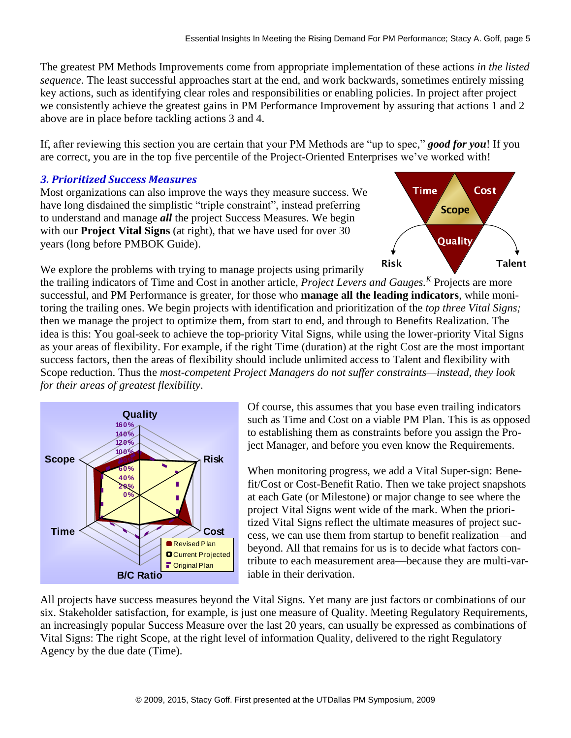The greatest PM Methods Improvements come from appropriate implementation of these actions *in the listed sequence*. The least successful approaches start at the end, and work backwards, sometimes entirely missing key actions, such as identifying clear roles and responsibilities or enabling policies. In project after project we consistently achieve the greatest gains in PM Performance Improvement by assuring that actions 1 and 2 above are in place before tackling actions 3 and 4.

If, after reviewing this section you are certain that your PM Methods are "up to spec," *good for you*! If you are correct, you are in the top five percentile of the Project-Oriented Enterprises we've worked with!

### *3. Prioritized Success Measures*

Most organizations can also improve the ways they measure success. We have long disdained the simplistic "triple constraint", instead preferring to understand and manage *all* the project Success Measures. We begin with our **Project Vital Signs** (at right), that we have used for over 30 years (long before PMBOK Guide).

We explore the problems with trying to manage projects using primarily



the trailing indicators of Time and Cost in another article, *Project Levers and Gauges. <sup>K</sup>* Projects are more successful, and PM Performance is greater, for those who **manage all the leading indicators**, while monitoring the trailing ones. We begin projects with identification and prioritization of the *top three Vital Signs;* then we manage the project to optimize them, from start to end, and through to Benefits Realization. The idea is this: You goal-seek to achieve the top-priority Vital Signs, while using the lower-priority Vital Signs as your areas of flexibility. For example, if the right Time (duration) at the right Cost are the most important success factors, then the areas of flexibility should include unlimited access to Talent and flexibility with Scope reduction. Thus the *most-competent Project Managers do not suffer constraints—instead, they look for their areas of greatest flexibility*. Talent<br>
and Cost in another article, *Project Levers and Gauges.*<sup>*K*</sup> Projects are more<br>
ing reads the care, for those who **manage all the leading indications**, while moni-<br>
agin projects with identification and prioritiz



Of course, this assumes that you base even trailing indicators such as Time and Cost on a viable PM Plan. This is as opposed to establishing them as constraints before you assign the Project Manager, and before you even know the Requirements.

When monitoring progress, we add a Vital Super-sign: Benefit/Cost or Cost-Benefit Ratio. Then we take project snapshots at each Gate (or Milestone) or major change to see where the project Vital Signs went wide of the mark. When the prioritized Vital Signs reflect the ultimate measures of project success, we can use them from startup to benefit realization—and beyond. All that remains for us is to decide what factors contribute to each measurement area—because they are multi-variable in their derivation.

All projects have success measures beyond the Vital Signs. Yet many are just factors or combinations of our six. Stakeholder satisfaction, for example, is just one measure of Quality. Meeting Regulatory Requirements, an increasingly popular Success Measure over the last 20 years, can usually be expressed as combinations of Vital Signs: The right Scope, at the right level of information Quality, delivered to the right Regulatory Agency by the due date (Time).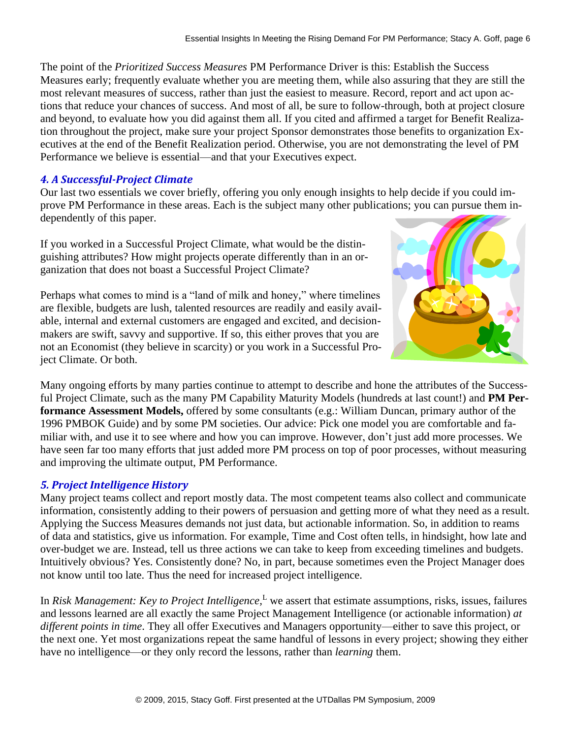The point of the *Prioritized Success Measures* PM Performance Driver is this: Establish the Success Measures early; frequently evaluate whether you are meeting them, while also assuring that they are still the most relevant measures of success, rather than just the easiest to measure. Record, report and act upon actions that reduce your chances of success. And most of all, be sure to follow-through, both at project closure and beyond, to evaluate how you did against them all. If you cited and affirmed a target for Benefit Realization throughout the project, make sure your project Sponsor demonstrates those benefits to organization Executives at the end of the Benefit Realization period. Otherwise, you are not demonstrating the level of PM Performance we believe is essential—and that your Executives expect.

### *4. A Successful-Project Climate*

Our last two essentials we cover briefly, offering you only enough insights to help decide if you could improve PM Performance in these areas. Each is the subject many other publications; you can pursue them independently of this paper.

If you worked in a Successful Project Climate, what would be the distinguishing attributes? How might projects operate differently than in an organization that does not boast a Successful Project Climate?

Perhaps what comes to mind is a "land of milk and honey," where timelines are flexible, budgets are lush, talented resources are readily and easily available, internal and external customers are engaged and excited, and decisionmakers are swift, savvy and supportive. If so, this either proves that you are not an Economist (they believe in scarcity) or you work in a Successful Project Climate. Or both.



Many ongoing efforts by many parties continue to attempt to describe and hone the attributes of the Successful Project Climate, such as the many PM Capability Maturity Models (hundreds at last count!) and **PM Performance Assessment Models,** offered by some consultants (e.g.: William Duncan, primary author of the 1996 PMBOK Guide) and by some PM societies. Our advice: Pick one model you are comfortable and familiar with, and use it to see where and how you can improve. However, don't just add more processes. We have seen far too many efforts that just added more PM process on top of poor processes, without measuring and improving the ultimate output, PM Performance.

# *5. Project Intelligence History*

Many project teams collect and report mostly data. The most competent teams also collect and communicate information, consistently adding to their powers of persuasion and getting more of what they need as a result. Applying the Success Measures demands not just data, but actionable information. So, in addition to reams of data and statistics, give us information. For example, Time and Cost often tells, in hindsight, how late and over-budget we are. Instead, tell us three actions we can take to keep from exceeding timelines and budgets. Intuitively obvious? Yes. Consistently done? No, in part, because sometimes even the Project Manager does not know until too late. Thus the need for increased project intelligence.

In *Risk Management: Key to Project Intelligence*,<sup>L</sup> we assert that estimate assumptions, risks, issues, failures and lessons learned are all exactly the same Project Management Intelligence (or actionable information) *at different points in time*. They all offer Executives and Managers opportunity—either to save this project, or the next one. Yet most organizations repeat the same handful of lessons in every project; showing they either have no intelligence—or they only record the lessons, rather than *learning* them.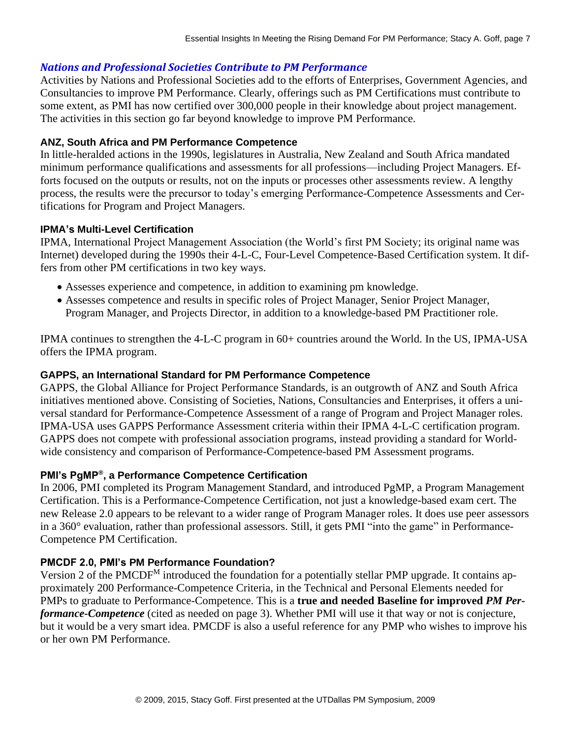#### *Nations and Professional Societies Contribute to PM Performance*

Activities by Nations and Professional Societies add to the efforts of Enterprises, Government Agencies, and Consultancies to improve PM Performance. Clearly, offerings such as PM Certifications must contribute to some extent, as PMI has now certified over 300,000 people in their knowledge about project management. The activities in this section go far beyond knowledge to improve PM Performance.

#### **ANZ, South Africa and PM Performance Competence**

In little-heralded actions in the 1990s, legislatures in Australia, New Zealand and South Africa mandated minimum performance qualifications and assessments for all professions—including Project Managers. Efforts focused on the outputs or results, not on the inputs or processes other assessments review. A lengthy process, the results were the precursor to today's emerging Performance-Competence Assessments and Certifications for Program and Project Managers.

#### **IPMA's Multi-Level Certification**

IPMA, International Project Management Association (the World's first PM Society; its original name was Internet) developed during the 1990s their 4-L-C, Four-Level Competence-Based Certification system. It differs from other PM certifications in two key ways.

- Assesses experience and competence, in addition to examining pm knowledge.
- Assesses competence and results in specific roles of Project Manager, Senior Project Manager, Program Manager, and Projects Director, in addition to a knowledge-based PM Practitioner role.

IPMA continues to strengthen the 4-L-C program in 60+ countries around the World. In the US, IPMA-USA offers the IPMA program.

#### **GAPPS, an International Standard for PM Performance Competence**

GAPPS, the Global Alliance for Project Performance Standards, is an outgrowth of ANZ and South Africa initiatives mentioned above. Consisting of Societies, Nations, Consultancies and Enterprises, it offers a universal standard for Performance-Competence Assessment of a range of Program and Project Manager roles. IPMA-USA uses GAPPS Performance Assessment criteria within their IPMA 4-L-C certification program. GAPPS does not compete with professional association programs, instead providing a standard for Worldwide consistency and comparison of Performance-Competence-based PM Assessment programs.

#### **PMI's PgMP® , a Performance Competence Certification**

In 2006, PMI completed its Program Management Standard, and introduced PgMP, a Program Management Certification. This is a Performance-Competence Certification, not just a knowledge-based exam cert. The new Release 2.0 appears to be relevant to a wider range of Program Manager roles. It does use peer assessors in a 360° evaluation, rather than professional assessors. Still, it gets PMI "into the game" in Performance-Competence PM Certification.

#### **PMCDF 2.0, PMI's PM Performance Foundation?**

Version 2 of the PMCDF<sup>M</sup> introduced the foundation for a potentially stellar PMP upgrade. It contains approximately 200 Performance-Competence Criteria, in the Technical and Personal Elements needed for PMPs to graduate to Performance-Competence. This is a **true and needed Baseline for improved** *PM Performance-Competence* (cited as needed on page 3). Whether PMI will use it that way or not is conjecture, but it would be a very smart idea. PMCDF is also a useful reference for any PMP who wishes to improve his or her own PM Performance.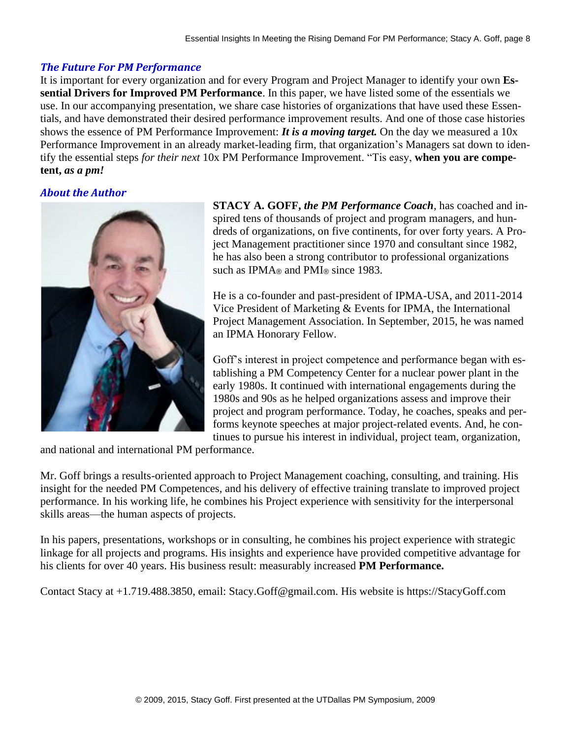#### *The Future For PM Performance*

It is important for every organization and for every Program and Project Manager to identify your own **Essential Drivers for Improved PM Performance**. In this paper, we have listed some of the essentials we use. In our accompanying presentation, we share case histories of organizations that have used these Essentials, and have demonstrated their desired performance improvement results. And one of those case histories shows the essence of PM Performance Improvement: *It is a moving target.* On the day we measured a 10x Performance Improvement in an already market-leading firm, that organization's Managers sat down to identify the essential steps *for their next* 10x PM Performance Improvement. "Tis easy, **when you are competent,** *as a pm!*

# *About the Author*



**STACY A. GOFF,** *the PM Performance Coach*, has coached and inspired tens of thousands of project and program managers, and hundreds of organizations, on five continents, for over forty years. A Project Management practitioner since 1970 and consultant since 1982, he has also been a strong contributor to professional organizations such as IPMA<sup>®</sup> and PMI<sup>®</sup> since 1983.

He is a co-founder and past-president of IPMA-USA, and 2011-2014 Vice President of Marketing & Events for IPMA, the International Project Management Association. In September, 2015, he was named an IPMA Honorary Fellow.

Goff's interest in project competence and performance began with establishing a PM Competency Center for a nuclear power plant in the early 1980s. It continued with international engagements during the 1980s and 90s as he helped organizations assess and improve their project and program performance. Today, he coaches, speaks and performs keynote speeches at major project-related events. And, he continues to pursue his interest in individual, project team, organization,

and national and international PM performance.

Mr. Goff brings a results-oriented approach to Project Management coaching, consulting, and training. His insight for the needed PM Competences, and his delivery of effective training translate to improved project performance. In his working life, he combines his Project experience with sensitivity for the interpersonal skills areas—the human aspects of projects.

In his papers, presentations, workshops or in consulting, he combines his project experience with strategic linkage for all projects and programs. His insights and experience have provided competitive advantage for his clients for over 40 years. His business result: measurably increased **PM Performance.** 

Contact Stacy at +1.719.488.3850, email: Stacy.Goff@gmail.com. His website is https://StacyGoff.com